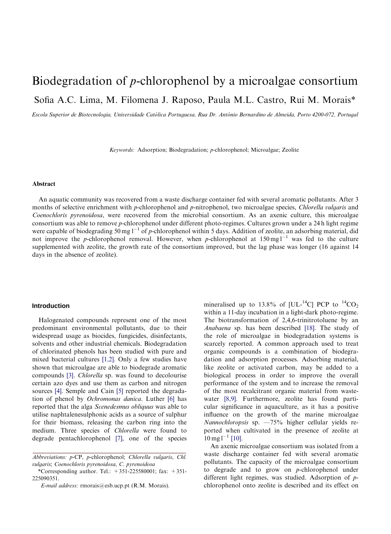# Biodegradation of *p*-chlorophenol by a microalgae consortium Sofia A.C. Lima, M. Filomena J. Raposo, Paula M.L. Castro, Rui M. Morais\*

Escola Superior de Biotecnologia, Universidade Católica Portuguesa, Rua Dr. António Bernardino de Almeida, Porto 4200-072, Portugal

Keywords: Adsorption; Biodegradation; p-chlorophenol; Microalgae; Zeolite

## Abstract

An aquatic communitywas recovered from a waste discharge container fed with several aromatic pollutants. After 3 months of selective enrichment with p-chlorophenol and p-nitrophenol, two microalgae species, Chlorella vulgaris and Coenochloris pyrenoidosa, were recovered from the microbial consortium. As an axenic culture, this microalgae consortium was able to remove p-chlorophenol under different photo-regimes. Cultures grown under a 24 h light regime were capable of biodegrading 50 mg  $1^{-1}$  of p-chlorophenol within 5 days. Addition of zeolite, an adsorbing material, did not improve the p-chlorophenol removal. However, when p-chlorophenol at  $150 \text{ mg}^{-1}$  was fed to the culture supplemented with zeolite, the growth rate of the consortium improved, but the lag phase was longer (16 against 14 days in the absence of zeolite).

## **Introduction**

Halogenated compounds represent one of the most predominant environmental pollutants, due to their widespread usage as biocides, fungicides, disinfectants, solvents and other industrial chemicals. Biodegradation of chlorinated phenols has been studied with pure and mixed bacterial cultures [\[1,2\]](#page-5-0). Onlya few studies have shown that microalgae are able to biodegrade aromatic compounds [\[3\]](#page-5-0). Chlorella sp. was found to decolourise certain azo dyes and use them as carbon and nitrogen sources [\[4\].](#page-5-0) Semple and Cain [\[5\]](#page-5-0) reported the degradation of phenol by Ochromonas danica. Luther [\[6\]](#page-5-0) has reported that the alga Scenedesmus obliquus was able to utilise naphtalenesulphonic acids as a source of sulphur for their biomass, releasing the carbon ring into the medium. Three species of Chlorella were found to degrade pentachlorophenol [\[7\]](#page-5-0), one of the species

mineralised up to 13.8% of [UL-<sup>14</sup>C] PCP to <sup>14</sup>CO<sub>2</sub> within a 11-day incubation in a light-dark photo-regime. The biotransformation of  $2,4,6$ -trinitrotoluene by an Anabaena sp. has been described [\[18\].](#page-5-0) The study of the role of microalgae in biodegradation systems is scarcely reported. A common approach used to treat organic compounds is a combination of biodegradation and adsorption processes. Adsorbing material, like zeolite or activated carbon, may be added to a biological process in order to improve the overall performance of the system and to increase the removal of the most recalcitrant organic material from wastewater [\[8,9\]](#page-5-0). Furthermore, zeolite has found particular significance in aquaculture, as it has a positive influence on the growth of the marine microalgae Nannochloropsis sp. —75% higher cellular yields reported when cultivated in the presence of zeolite at  $10 \,\mathrm{mg}\,\mathrm{l}^{-1}$  [\[10\].](#page-5-0)

An axenic microalgae consortium was isolated from a waste discharge container fed with several aromatic pollutants. The capacity of the microalgae consortium to degrade and to grow on p-chlorophenol under different light regimes, was studied. Adsorption of pchlorophenol onto zeolite is described and its effect on

Abbreviations: p-CP, p-chlorophenol; Chlorella vulgaris, Chl. vulgaris; Coenochloris pyrenoidosa, C. pyrenoidosa \_\_\_\_\_\_\_\_\_\_\_\_\_\_\_\_\_\_\_\_\_\_\_\_\_\_\_\_\_\_\_\_\_\_\_\_\_\_\_\_\_\_\_\_\_\_\_\_

<sup>\*</sup>Corresponding author. Tel.:  $+351-225580001$ ; fax:  $+351-$ 225090351.

E-mail address: rmorais@esb.ucp.pt (R.M. Morais).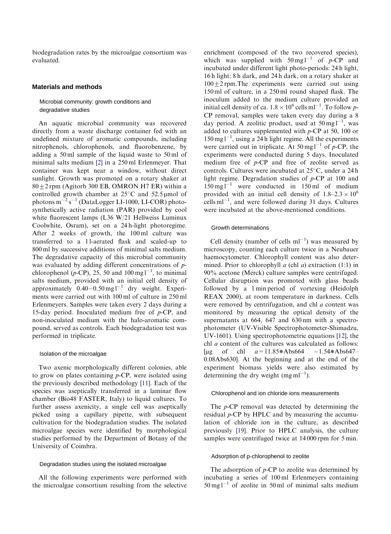biodegradation rates by the microalgae consortium was evaluated.

## **Materials and methods**

## Microbial community: growth conditions and degradative studies

An aquatic microbial community was recovered directly from a waste discharge container fed with an undefined mixture of aromatic compounds, including nitrophenols, chlorophenols, and fluorobenzene, by adding a 50 ml sample of the liquid waste to 50 ml of minimal salts medium [\[2\]](#page-5-0) in a 250 ml Erlenmeyer. That container was kept near a window, without direct sunlight. Growth was promoted on a rotary shaker at  $80\pm2$  rpm (Agitorb 300 EB, OMRON H7 ER) within a controlled growth chamber at  $25^{\circ}$ C and  $52.5 \mu$ mol of photons  $m^{-2} s^{-1}$  (DataLogger LI-1000, LI-COR) photosynthetically active radiation (PAR) provided by cool white fluorescent lamps (L36 W/21 Hellweiss Luminux Coolwhite, Osram), set on a 24 h-light photoregime. After 2 weeks of growth, the 100 ml culture was transferred to a 1 l-aerated flask and scaled-up to 800 ml by successive additions of minimal salts medium. The degradative capacity of this microbial community was evaluated by adding different concentrations of  $p$ chlorophenol (p-CP), 25, 50 and  $100 \text{ mg}1^{-1}$ , to minimal salts medium, provided with an initial cell density of approximately  $0.40-0.50$  mg l<sup>-1</sup> dry weight. Experiments were carried out with 100 ml of culture in 250 ml Erlenmeyers. Samples were taken every 2 days during a 15-day period. Inoculated medium free of  $p$ -CP, and non-inoculated medium with the halo-aromatic compound, served as controls. Each biodegradation test was performed in triplicate.

## Isolation of the microalgae

Two axenic morphologically different colonies, able to grow on plates containing p-CP, were isolated using the previously described methodology [\[11\]](#page-5-0). Each of the species was aseptically transferred in a laminar flow chamber (Bio48 FASTER, Italy) to liquid cultures. To further assess axenicity, a single cell was aseptically picked using a capillary pipette, with subsequent cultivation for the biodegradation studies. The isolated microalgae species were identified by morphological studies performed by the Department of Botany of the University of Coimbra.

#### Degradation studies using the isolated microalgae

All the following experiments were performed with the microalgae consortium resulting from the selective

enrichment (composed of the two recovered species), which was supplied with  $50 \text{ mg l}^{-1}$  of p-CP and incubated under different light photo-periods: 24 h light, 16 h light: 8 h dark, and 24 h dark, on a rotaryshaker at  $100 \pm 2$  rpm. The experiments were carried out using 150 ml of culture, in a 250 ml round shaped flask. The inoculum added to the medium culture provided an initial cell density of ca.  $1.8 \times 10^6$  cells ml<sup>-1</sup>. To follow p-CP removal, samples were taken every day during a 8 day period. A zeolitic product, used at  $50 \text{ mg l}^{-1}$ , was added to cultures supplemented with  $p$ -CP at 50, 100 or  $150 \text{ mg}$ <sup>1-1</sup>, using a 24 h light regime. All the experiments were carried out in triplicate. At  $50 \text{ mg} \cdot 1^{-1}$  of  $p$ -CP, the experiments were conducted during 5 days. Inoculated medium free of p-CP and free of zeolite served as controls. Cultures were incubated at 25°C, under a 24 h light regime. Degradation studies of p-CP at 100 and  $150 \text{ mg l}^{-1}$  were conducted in  $150 \text{ ml}$  of medium provided with an initial cell density of  $1.8-2.3 \times 10^6$ cells  $ml^{-1}$ , and were followed during 31 days. Cultures were incubated at the above-mentioned conditions.

#### Growth determinations

Cell density (number of cells  $ml^{-1}$ ) was measured by microscopy, counting each culture twice in a Neubauer haemocytometer. Chlorophyll content was also determined. Prior to chlorophyll  $a$  (chl  $a$ ) extraction (1:1) in 90% acetone (Merck) culture samples were centrifuged. Cellular disruption was promoted with glass beads followed by a 1 min period of vortexing (Heidolph REAX 2000), at room temperature in darkness. Cells were removed by centrifugation, and chl  $a$  content was monitored by measuring the optical density of the supernatants at 664, 647 and 630 nm with a spectrophotometer (UV-Visible Spectrophotometer-Shimadzu, UV-1601). Using spectrophotometric equations [\[12\]](#page-5-0), the chl a content of the cultures was calculated as follows: [ug of chl  $a=11.85*Abs664 -1.54*Abs647-$ 0.08Abs630]. At the beginning and at the end of the experiment biomass yields were also estimated by determining the dry weight  $(mg\,ml^{-1})$ .

#### Chlorophenol and ion chloride ions measurements

The  $p$ -CP removal was detected by determining the residual  $p$ -CP by HPLC and by measuring the accumulation of chloride ion in the culture, as described previously [\[19\]](#page-5-0). Prior to HPLC analysis, the culture samples were centrifuged twice at  $14000$  rpm for 5 min.

#### Adsorption of p-chlorophenol to zeolite

The adsorption of  $p$ -CP to zeolite was determined by incubating a series of 100 ml Erlenmeyers containing  $50 \text{ mg l}^{-1}$  of zeolite in  $50 \text{ ml}$  of minimal salts medium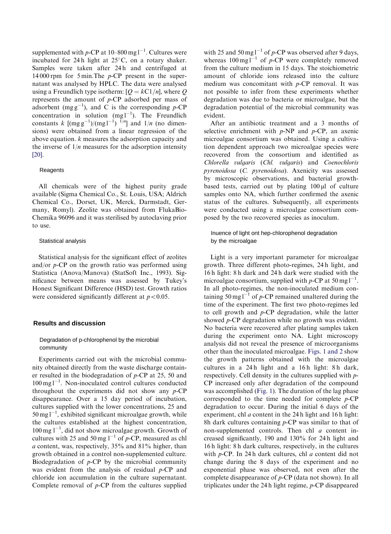supplemented with p-CP at 10–800 mg  $1^{-1}$ . Cultures were incubated for 24h light at  $25^{\circ}$ C, on a rotary shaker. Samples were taken after 24h and centrifuged at 14 000 rpm for 5 min. The  $p$ -CP present in the supernatant was analysed by HPLC. The data were analysed using a Freundlich type isotherm:  $[Q = kC1/n]$ , where Q represents the amount of p-CP adsorbed per mass of adsorbent (mg  $g^{-1}$ ), and C is the corresponding p-CP concentration in solution  $(mgl^{-1})$ . The Freundlich constants k  $\left[\frac{\text{mg g}^{-1}}{\text{mg g}^{-1}}\right]$  (mg l<sup>-1</sup>)<sup> I/n</sup>] and 1/n (no dimensions) were obtained from a linear regression of the above equation.  $k$  measures the adsorption capacity and the inverse of  $1/n$  measures for the adsorption intensity [\[20\].](#page-5-0)

## **Reagents**

All chemicals were of the highest purity grade available (Sigma Chemical Co., St. Louis, USA; Aldrich Chemical Co., Dorset, UK, Merck, Darmstadt, Germany, Romyl). Zeolite was obtained from FlukaBio-Chemika 96096 and it was sterilised by autoclaving prior to use.

#### Statistical analysis

Statistical analysis for the significant effect of zeolites and/or  $p$ -CP on the growth ratio was performed using Statistica (Anova/Manova) (StatSoft Inc., 1993). Significance between means was assessed byTukey's Honest Significant Difference (HSD) test. Growth ratios were considered significantly different at  $p < 0.05$ .

# **Results and discussion**

# Degradation of p-chlorophenol by the microbial community

Experiments carried out with the microbial community obtained directly from the waste discharge container resulted in the biodegradation of p-CP at 25, 50 and  $100 \,\text{mg}\,l^{-1}$ . Non-inoculated control cultures conducted throughout the experiments did not show any  $p$ -CP disappearance. Over a 15 day period of incubation, cultures supplied with the lower concentrations, 25 and  $50 \text{ mg} \text{ l}^{-1}$ , exhibited significant microalgae growth, while the cultures established at the highest concentration,  $100 \text{ mg } l^{-1}$ , did not show microalgae growth. Growth of cultures with 25 and 50 mg  $1^{-1}$  of p-CP, measured as chl a content, was, respectively, 35% and 81% higher, than growth obtained in a control non-supplemented culture. Biodegradation of  $p$ -CP by the microbial community was evident from the analysis of residual p-CP and chloride ion accumulation in the culture supernatant. Complete removal of  $p$ -CP from the cultures supplied

with 25 and 50 mg  $l^{-1}$  of p-CP was observed after 9 days, whereas  $100 \text{ mg}$ <sup>1-1</sup> of p-CP were completely removed from the culture medium in 15 days. The stoichiometric amount of chloride ions released into the culture medium was concomitant with  $p$ -CP removal. It was not possible to infer from these experiments whether degradation was due to bacteria or microalgae, but the degradation potential of the microbial community was evident.

After an antibiotic treatment and a 3 months of selective enrichment with  $p$ -NP and  $p$ -CP, an axenic microalgae consortium was obtained. Using a cultivation dependent approach two microalgae species were recovered from the consortium and identified as Chlorella vulgaris (Chl. vulgaris) and Coenochloris pyrenoidosa (C. pyrenoidosa). Axenicity was assessed bymicroscopic observations, and bacterial growthbased tests, carried out by plating 100 µl of culture samples onto NA, which further confirmed the axenic status of the cultures. Subsequently, all experiments were conducted using a microalgae consortium composed by the two recovered species as inoculum.

In uence of light ont hep-chlorophenol degradation by the microalgae

Light is a very important parameter for microalgae growth. Three different photo-regimes, 24 h light, and 16 h light: 8 h dark and 24 h dark were studied with the microalgae consortium, supplied with p-CP at 50 mg  $1^{-1}$ . In all photo-regimes, the non-inoculated medium containing 50 mg  $l^{-1}$  of p-CP remained unaltered during the time of the experiment. The first two photo-regimes led to cell growth and p-CP degradation, while the latter showed p-CP degradation while no growth was evident. No bacteria were recovered after plating samples taken during the experiment onto NA. Light microscopy analysis did not reveal the presence of microorganisms other than the inoculated microalgae. [Figs. 1 and 2](#page-3-0) show the growth patterns obtained with the microalgae cultures in a 24 h light and a 16 h light: 8 h dark, respectively. Cell density in the cultures supplied with p-CP increased onlyafter degradation of the compound was accomplished [\(Fig. 1\)](#page-3-0). The duration of the lag phase corresponded to the time needed for complete  $p$ -CP degradation to occur. During the initial 6 days of the experiment, chl *a* content in the 24 h light and 16 h light: 8h dark cultures containing  $p$ -CP was similar to that of non-supplemented controls. Then chl a content increased significantly, 190 and 130% for 24 h light and 16 h light: 8 h dark cultures, respectively, in the cultures with p-CP. In 24 h dark cultures, chl a content did not change during the 8 days of the experiment and no exponential phase was observed, not even after the complete disappearance of p-CP (data not shown). In all triplicates under the 24 h light regime, p-CP disappeared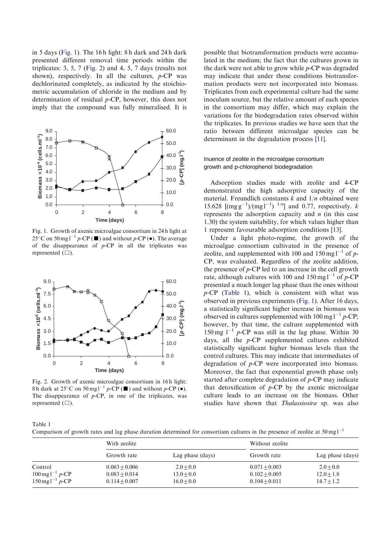<span id="page-3-0"></span>in 5 days (Fig. 1). The 16 h light: 8 h dark and 24 h dark presented different removal time periods within the triplicates: 3, 5, 7 (Fig. 2) and 4, 5, 7 days (results not shown), respectively. In all the cultures,  $p$ -CP was dechlorinated completely, as indicated by the stoichiometric accumulation of chloride in the medium and by determination of residual p-CP, however, this does not imply that the compound was fully mineralised. It is



Fig. 1. Growth of axenic microalgae consortium in 24 h light at 25<sup>o</sup>C on 50 mg l<sup>-1</sup> p-CP ( $\blacksquare$ ) and without p-CP ( $\bullet$ ). The average of the disappearance of  $p$ -CP in all the triplicates was represented  $(\Box)$ .



Fig. 2. Growth of axenic microalgae consortium in 16 h light: 8 h dark at 25°C on 50 mg l<sup>-1</sup> p-CP ( $\blacksquare$ ) and without p-CP ( $\bullet$ ). The disappearance of  $p$ -CP, in one of the triplicates, was represented  $(\Box)$ .

possible that biotransformation products were accumulated in the medium; the fact that the cultures grown in the dark were not able to grow while p-CP was degraded may indicate that under those conditions biotransformation products were not incorporated into biomass. Triplicates from each experimental culture had the same inoculum source, but the relative amount of each species in the consortium maydiffer, which mayexplain the variations for the biodegradation rates observed within the triplicates. In previous studies we have seen that the ratio between different microalgae species can be determinant in the degradation process [\[11\]](#page-5-0).

# In uence of zeolite in the microalgae consortium growth and p-chlorophenol biodegradation

Adsorption studies made with zeolite and 4-CP demonstrated the high adsorptive capacity of the material. Freundlich constants  $k$  and  $1/n$  obtained were 15.628  $\left[\frac{\text{mg g}^{-1}}{\text{mg g}^{-1}}\right]^{1/n}$  and 0.77, respectively. k represents the adsorption capacity and  $n$  (in this case 1.30) the system suitability, for which values higher than 1 represent favourable adsorption conditions [\[13\].](#page-5-0)

Under a light photo-regime, the growth of the microalgae consortium cultivated in the presence of zeolite, and supplemented with 100 and  $150 \text{ mg l}^{-1}$  of p-CP, was evaluated. Regardless of the zeolite addition, the presence of p-CP led to an increase in the cell growth rate, although cultures with 100 and  $150 \text{ mg} \text{m}^{-1}$  of p-CP presented a much longer lag phase than the ones without p-CP (Table 1), which is consistent with what was observed in previous experiments (Fig. 1). After 16 days, a statistically significant higher increase in biomass was observed in cultures supplemented with  $100 \text{ mg} \cdot 1^{-1} p$ -CP; however, by that time, the culture supplemented with 150 mg  $1^{-1}$  p-CP was still in the lag phase. Within 30 days, all the p-CP supplemented cultures exhibited statistically significant higher biomass levels than the control cultures. This mayindicate that intermediates of degradation of p-CP were incorporated into biomass. Moreover, the fact that exponential growth phase only started after complete degradation of  $p$ -CP may indicate that detoxification of  $p$ -CP by the axenic microalgae culture leads to an increase on the biomass. Other studies have shown that Thalassiosira sp. was also

Table 1

Comparison of growth rates and lag phase duration determined for consortium cultures in the presence of zeolite at  $50 \text{ mg l}^{-1}$ 

|                                                                                    | With zeolite                       |                              | Without zeolite                    |                              |
|------------------------------------------------------------------------------------|------------------------------------|------------------------------|------------------------------------|------------------------------|
|                                                                                    | Growth rate                        | Lag phase (days)             | Growth rate                        | Lag phase (days)             |
| Control                                                                            | $0.063 + 0.006$                    | $2.0 + 0.0$                  | $0.071 + 0.003$                    | $2.0 + 0.0$                  |
| $100 \,\text{mg}\,\text{l}^{-1}$ p-CP<br>$150 \,\mathrm{mg}\,\mathrm{l}^{-1}$ p-CP | $0.083 + 0.014$<br>$0.114 + 0.007$ | $13.0 + 0.0$<br>$16.0 + 0.0$ | $0.102 + 0.005$<br>$0.104 + 0.011$ | $12.0 + 1.8$<br>$14.7 + 1.2$ |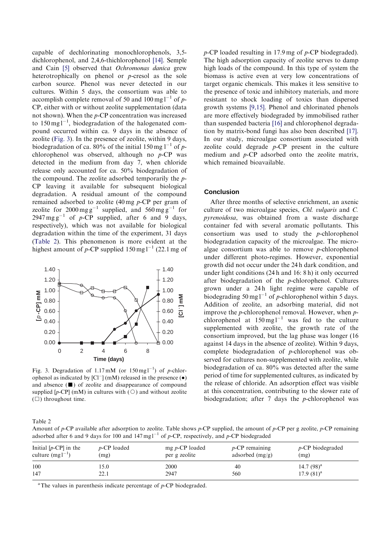capable of dechlorinating monochlorophenols, 3,5 dichlorophenol, and 2,4,6-thichlorophenol [\[14\].](#page-5-0) Semple and Cain [\[5\]](#page-5-0) observed that Ochromonas danica grew heterotrophically on phenol or  $p$ -cresol as the sole carbon source. Phenol was never detected in our cultures. Within 5 days, the consortium was able to accomplish complete removal of 50 and 100 mg  $1^{-1}$  of p-CP, either with or without zeolite supplementation (data not shown). When the p-CP concentration was increased to  $150 \text{ mg}^{-1}$ , biodegradation of the halogenated compound occurred within ca. 9 days in the absence of zeolite (Fig. 3). In the presence of zeolite, within 9 days, biodegradation of ca. 80% of the initial 150 mg  $1^{-1}$  of pchlorophenol was observed, although no  $p$ -CP was detected in the medium from day7, when chloride release only accounted for ca. 50% biodegradation of the compound. The zeolite adsorbed temporarily the  $p$ -CP leaving it available for subsequent biological degradation. A residual amount of the compound remained adsorbed to zeolite (40 mg p-CP per gram of zeolite for  $2000 \text{ mg g}^{-1}$  supplied, and  $560 \text{ mg g}^{-1}$  for  $2947 \text{ mg g}^{-1}$  of p-CP supplied, after 6 and 9 days, respectively), which was not available for biological degradation within the time of the experiment, 31 days (Table 2). This phenomenon is more evident at the highest amount of p-CP supplied  $150 \text{ mg} \, \text{l}^{-1}$  (22.1 mg of



Fig. 3. Degradation of  $1.17 \text{ mM}$  (or  $150 \text{ mg} 1^{-1}$ ) of p-chlorophenol as indicated by  $[C1^-]$  (mM) released in the presence  $(\bullet)$ and absence  $(\blacksquare)$  of zeolite and disappearance of compound supplied [p-CP] (mM) in cultures with  $(\circ)$  and without zeolite  $(\Box)$  throughout time.

p-CP loaded resulting in 17.9 mg of p-CP biodegraded). The high adsorption capacity of zeolite serves to damp high loads of the compound. In this type of system the biomass is active even at very low concentrations of target organic chemicals. This makes it less sensitive to the presence of toxic and inhibitory materials, and more resistant to shock loading of toxics than dispersed growth systems [\[9,15\]](#page-5-0). Phenol and chlorinated phenols are more effectively biodegraded by immobilised rather than suspended bacteria [\[16\]](#page-5-0) and chlorophenol degradation bymatrix-bond fungi has also been described [\[17\].](#page-5-0) In our study, microalgae consortium associated with zeolite could degrade  $p$ -CP present in the culture medium and p-CP adsorbed onto the zeolite matrix, which remained bioavailable.

# **Conclusion**

After three months of selective enrichment, an axenic culture of two microalgae species, Chl. vulgaris and C. pyrenoidosa, was obtained from a waste discharge container fed with several aromatic pollutants. This consortium was used to study the  $p$ -chlorophenol biodegradation capacity of the microalgae. The microalgae consortium was able to remove p-chlorophenol under different photo-regimes. However, exponential growth did not occur under the 24 h dark condition, and under light conditions  $(24 h and 16: 8 h)$  it only occurred after biodegradation of the p-chlorophenol. Cultures grown under a 24h light regime were capable of biodegrading 50 mg  $l^{-1}$  of p-chlorophenol within 5 days. Addition of zeolite, an adsorbing material, did not improve the  $p$ -chlorophenol removal. However, when  $p$ chlorophenol at  $150 \text{ mg} \text{ l}^{-1}$  was fed to the culture supplemented with zeolite, the growth rate of the consortium improved, but the lag phase was longer (16 against 14 days in the absence of zeolite). Within 9 days, complete biodegradation of p-chlorophenol was observed for cultures non-supplemented with zeolite, while biodegradation of ca. 80% was detected after the same period of time for supplemented cultures, as indicated by the release of chloride. An adsorption effect was visible at this concentration, contributing to the slower rate of biodegradation; after 7 days the p-chlorophenol was

Table 2

Amount of p-CP available after adsorption to zeolite. Table shows p-CP supplied, the amount of p-CP per g zeolite, p-CP remaining adsorbed after 6 and 9 days for 100 and  $147 \text{ mg} \text{m}^{-1}$  of p-CP, respectively, and p-CP biodegraded

| Initial $[p-CP]$ in the | $p$ -CP loaded | $mg p$ -CP loaded | $p$ -CP remaining | $p$ -CP biodegraded |
|-------------------------|----------------|-------------------|-------------------|---------------------|
| culture $(mgl^{-1})$    | (mg)           | per g zeolite     | adsorbed $(mg/g)$ | (mg)                |
| 100                     | l 5.0          | 2000              | 40                | 14.7 $(98)^{a}$     |
| 147                     | 22.1           | 2947              | 560               | $17.9(81)^a$        |

<sup>a</sup>The values in parenthesis indicate percentage of  $p$ -CP biodegraded.